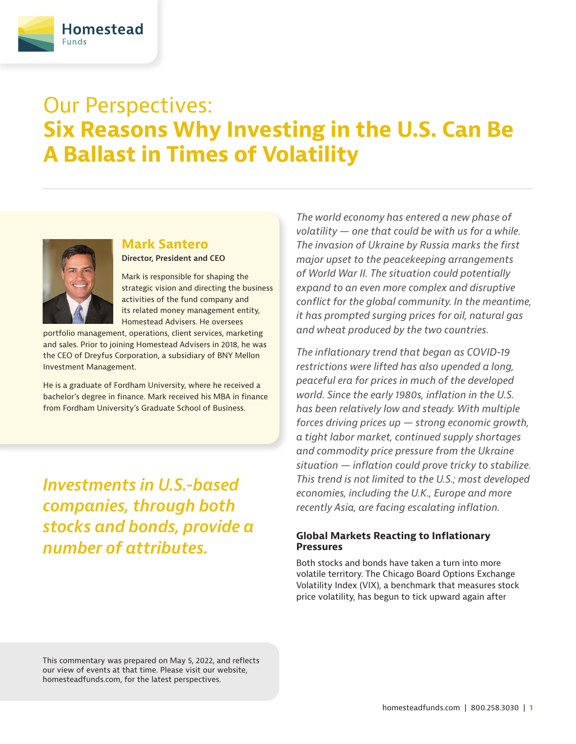# Our Perspectives: **Six Reasons Why Investing in the U.S. Can Be A Ballast in Times of Volatility**



**Homestead** 

Eunde

#### **Mark Santero Director, President and CEO**

Mark is responsible for shaping the strategic vision and directing the business activities of the fund company and its related money management entity, Homestead Advisers. He oversees

portfolio management, operations, client services, marketing and sales. Prior to joining Homestead Advisers in 2018, he was the CEO of Dreyfus Corporation, a subsidiary of BNY Mellon Investment Management.

He is a graduate of Fordham University, where he received a bachelor's degree in finance. Mark received his MBA in finance from Fordham University's Graduate School of Business.

*Investments in U.S.-based companies, through both stocks and bonds, provide a number of attributes.* 

*The world economy has entered a new phase of volatility — one that could be with us for a while. The invasion of Ukraine by Russia marks the first major upset to the peacekeeping arrangements of World War II. The situation could potentially expand to an even more complex and disruptive conflict for the global community. In the meantime, it has prompted surging prices for oil, natural gas and wheat produced by the two countries.*

*The inflationary trend that began as COVID-19 restrictions were lifted has also upended a long, peaceful era for prices in much of the developed world. Since the early 1980s, inflation in the U.S. has been relatively low and steady. With multiple forces driving prices up — strong economic growth, a tight labor market, continued supply shortages and commodity price pressure from the Ukraine situation — inflation could prove tricky to stabilize. This trend is not limited to the U.S.; most developed economies, including the U.K., Europe and more recently Asia, are facing escalating inflation.* 

#### **Global Markets Reacting to Inflationary Pressures**

Both stocks and bonds have taken a turn into more volatile territory. The Chicago Board Options Exchange Volatility Index (VIX), a benchmark that measures stock price volatility, has begun to tick upward again after

This commentary was prepared on May 5, 2022, and reflects our view of events at that time. Please visit our website, homesteadfunds.com, for the latest perspectives.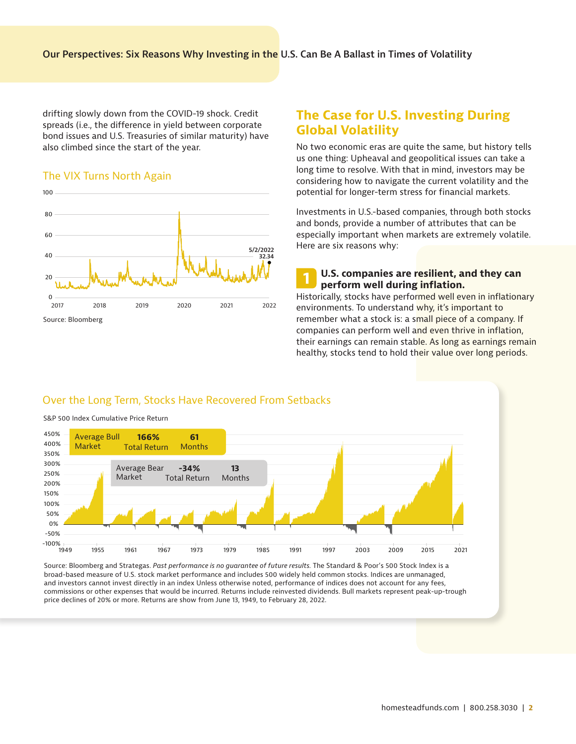drifting slowly down from the COVID-19 shock. Credit spreads (i.e., the difference in yield between corporate bond issues and U.S. Treasuries of similar maturity) have also climbed since the start of the year.

#### The VIX Turns North Again



## **The Case for U.S. Investing During Global Volatility**

No two economic eras are quite the same, but history tells us one thing: Upheaval and geopolitical issues can take a long time to resolve. With that in mind, investors may be considering how to navigate the current volatility and the potential for longer-term stress for financial markets.

Investments in U.S.-based companies, through both stocks and bonds, provide a number of attributes that can be especially important when markets are extremely volatile. Here are six reasons why:

#### **U.S. companies are resilient, and they can perform well during inflation. 1**

Historically, stocks have performed well even in inflationary environments. To understand why, it's important to remember what a stock is: a small piece of a company. If companies can perform well and even thrive in inflation, their earnings can remain stable. As long as earnings remain healthy, stocks tend to hold their value over long periods.

### Over the Long Term, Stocks Have Recovered From Setbacks



S&P 500 Index Cumulative Price Return

Source: Bloomberg and Strategas. *Past performance is no guarantee of future results.* The Standard & Poor's 500 Stock Index is a broad-based measure of U.S. stock market performance and includes 500 widely held common stocks. Indices are unmanaged, and investors cannot invest directly in an index Unless otherwise noted, performance of indices does not account for any fees, commissions or other expenses that would be incurred. Returns include reinvested dividends. Bull markets represent peak-up-trough price declines of 20% or more. Returns are show from June 13, 1949, to February 28, 2022.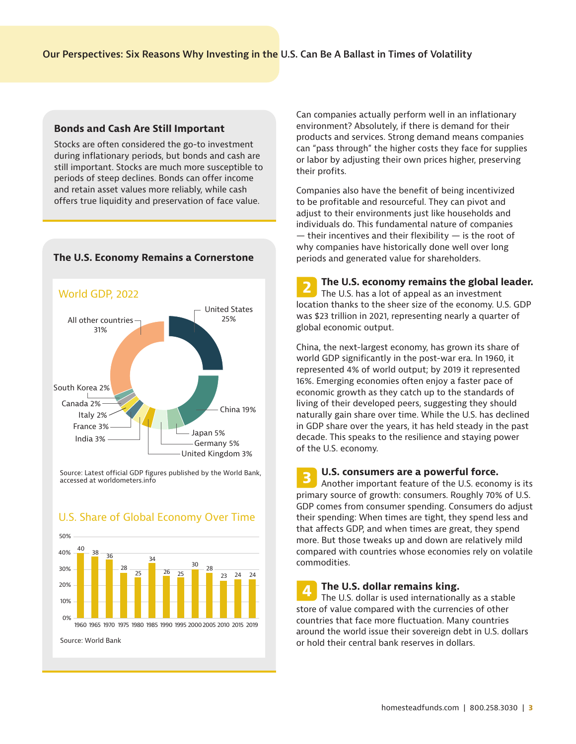#### **Bonds and Cash Are Still Important**

Stocks are often considered the go-to investment during inflationary periods, but bonds and cash are still important. Stocks are much more susceptible to periods of steep declines. Bonds can offer income and retain asset values more reliably, while cash offers true liquidity and preservation of face value.



**The U.S. Economy Remains a Cornerstone**

Source: Latest official GDP figures published by the World Bank, accessed at worldometers.info



### U.S. Share of Global Economy Over Time

Can companies actually perform well in an inflationary environment? Absolutely, if there is demand for their products and services. Strong demand means companies can "pass through" the higher costs they face for supplies or labor by adjusting their own prices higher, preserving their profits.

Companies also have the benefit of being incentivized to be profitable and resourceful. They can pivot and adjust to their environments just like households and individuals do. This fundamental nature of companies  $-$  their incentives and their flexibility  $-$  is the root of why companies have historically done well over long periods and generated value for shareholders.

**2 The U.S. economy remains the global leader.** The U.S. has a lot of appeal as an investment location thanks to the sheer size of the economy. U.S. GDP was \$23 trillion in 2021, representing nearly a quarter of global economic output.

China, the next-largest economy, has grown its share of world GDP significantly in the post-war era. In 1960, it represented 4% of world output; by 2019 it represented 16%. Emerging economies often enjoy a faster pace of economic growth as they catch up to the standards of living of their developed peers, suggesting they should naturally gain share over time. While the U.S. has declined in GDP share over the years, it has held steady in the past decade. This speaks to the resilience and staying power of the U.S. economy.

#### **U.S. consumers are a powerful force.**

**3** Another important feature of the U.S. economy is its primary source of growth: consumers. Roughly 70% of U.S. GDP comes from consumer spending. Consumers do adjust their spending: When times are tight, they spend less and that affects GDP, and when times are great, they spend more. But those tweaks up and down are relatively mild compared with countries whose economies rely on volatile commodities.

#### **The U.S. dollar remains king.**

**4** The U.S. dollar is used internationally as a stable store of value compared with the currencies of other countries that face more fluctuation. Many countries around the world issue their sovereign debt in U.S. dollars or hold their central bank reserves in dollars.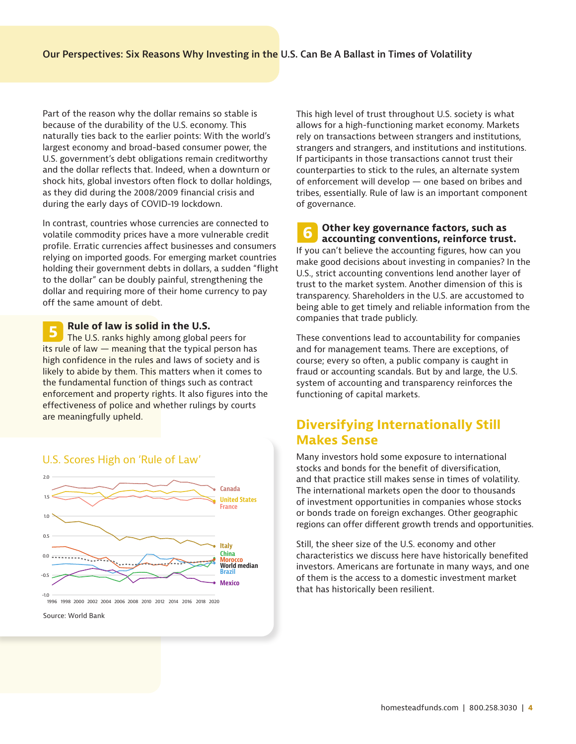Part of the reason why the dollar remains so stable is because of the durability of the U.S. economy. This naturally ties back to the earlier points: With the world's largest economy and broad-based consumer power, the U.S. government's debt obligations remain creditworthy and the dollar reflects that. Indeed, when a downturn or shock hits, global investors often flock to dollar holdings, as they did during the 2008/2009 financial crisis and during the early days of COVID-19 lockdown.

In contrast, countries whose currencies are connected to volatile commodity prices have a more vulnerable credit profile. Erratic currencies affect businesses and consumers relying on imported goods. For emerging market countries holding their government debts in dollars, a sudden "flight to the dollar" can be doubly painful, strengthening the dollar and requiring more of their home currency to pay off the same amount of debt.

#### **Rule of law is solid in the U.S.**

The U.S. ranks highly among global peers for its rule of law  $-$  meaning that the typical person has high confidence in the rules and laws of society and is likely to abide by them. This matters when it comes to the fundamental function of things such as contract enforcement and property rights. It also figures into the effectiveness of police and whether rulings by courts are meaningfully upheld. **5**





This high level of trust throughout U.S. society is what allows for a high-functioning market economy. Markets rely on transactions between strangers and institutions, strangers and strangers, and institutions and institutions. If participants in those transactions cannot trust their counterparties to stick to the rules, an alternate system of enforcement will develop — one based on bribes and tribes, essentially. Rule of law is an important component of governance.

#### **Other key governance factors, such as accounting conventions, reinforce trust. 6**

If you can't believe the accounting figures, how can you make good decisions about investing in companies? In the U.S., strict accounting conventions lend another layer of trust to the market system. Another dimension of this is transparency. Shareholders in the U.S. are accustomed to being able to get timely and reliable information from the companies that trade publicly.

These conventions lead to accountability for companies and for management teams. There are exceptions, of course; every so often, a public company is caught in fraud or accounting scandals. But by and large, the U.S. system of accounting and transparency reinforces the functioning of capital markets.

### **Diversifying Internationally Still Makes Sense**

Many investors hold some exposure to international stocks and bonds for the benefit of diversification, and that practice still makes sense in times of volatility. The international markets open the door to thousands of investment opportunities in companies whose stocks or bonds trade on foreign exchanges. Other geographic regions can offer different growth trends and opportunities.

Still, the sheer size of the U.S. economy and other characteristics we discuss here have historically benefited investors. Americans are fortunate in many ways, and one of them is the access to a domestic investment market that has historically been resilient.

Source: World Bank